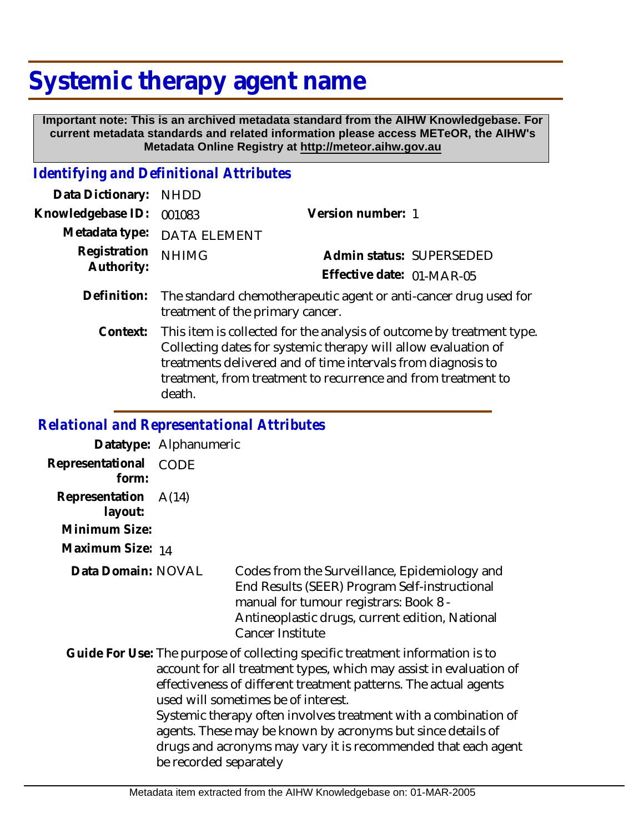## **Systemic therapy agent name**

 **Important note: This is an archived metadata standard from the AIHW Knowledgebase. For current metadata standards and related information please access METeOR, the AIHW's Metadata Online Registry at http://meteor.aihw.gov.au**

## *Identifying and Definitional Attributes*

| Data Dictionary: NHDD      |                                                                                                                  |                           |                          |
|----------------------------|------------------------------------------------------------------------------------------------------------------|---------------------------|--------------------------|
| Knowledgebase ID: 001083   |                                                                                                                  | Version number: 1         |                          |
|                            | Metadata type: DATA ELEMENT                                                                                      |                           |                          |
| Registration<br>Authority: | <b>NHIMG</b>                                                                                                     |                           | Admin status: SUPERSEDED |
|                            |                                                                                                                  | Effective date: 01-MAR-05 |                          |
|                            | Definition: The standard chemotherapeutic agent or anti-cancer drug used for<br>treatment of the primary cancer. |                           |                          |

This item is collected for the analysis of outcome by treatment type. Collecting dates for systemic therapy will allow evaluation of treatments delivered and of time intervals from diagnosis to treatment, from treatment to recurrence and from treatment to death. **Context:**

## *Relational and Representational Attributes*

**Datatype:** Alphanumeric **Representational** CODE  **form: Representation** A(14)  **layout:**

**Minimum Size:**

**Maximum Size:** 14

**Data Domain:**

Codes from the Surveillance, Epidemiology and End Results (SEER) Program Self-instructional manual for tumour registrars: Book 8 - Antineoplastic drugs, current edition, National Cancer Institute

Guide For Use: The purpose of collecting specific treatment information is to account for all treatment types, which may assist in evaluation of effectiveness of different treatment patterns. The actual agents used will sometimes be of interest. Systemic therapy often involves treatment with a combination of agents. These may be known by acronyms but since details of drugs and acronyms may vary it is recommended that each agent be recorded separately